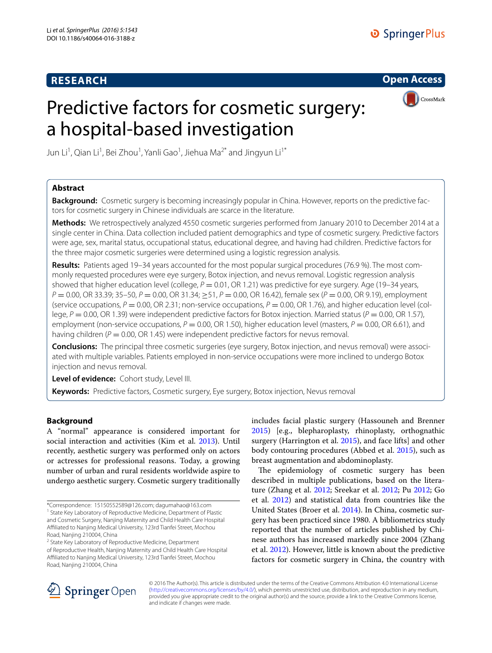# **RESEARCH**

**Open Access**

# Predictive factors for cosmetic surgery: a hospital-based investigation



Jun Li<sup>1</sup>, Qian Li<sup>1</sup>, Bei Zhou<sup>1</sup>, Yanli Gao<sup>1</sup>, Jiehua Ma<sup>2\*</sup> and Jingyun Li<sup>1\*</sup>

# **Abstract**

**Background:** Cosmetic surgery is becoming increasingly popular in China. However, reports on the predictive factors for cosmetic surgery in Chinese individuals are scarce in the literature.

**Methods:** We retrospectively analyzed 4550 cosmetic surgeries performed from January 2010 to December 2014 at a single center in China. Data collection included patient demographics and type of cosmetic surgery. Predictive factors were age, sex, marital status, occupational status, educational degree, and having had children. Predictive factors for the three major cosmetic surgeries were determined using a logistic regression analysis.

**Results:** Patients aged 19–34 years accounted for the most popular surgical procedures (76.9 %). The most commonly requested procedures were eye surgery, Botox injection, and nevus removal. Logistic regression analysis showed that higher education level (college,  $P = 0.01$ , OR 1.21) was predictive for eye surgery. Age (19–34 years, *P* = 0.00, OR 33.39; 35–50, *P* = 0.00, OR 31.34; ≥51, *P* = 0.00, OR 16.42), female sex (*P* = 0.00, OR 9.19), employment (service occupations,  $P = 0.00$ , OR 2.31; non-service occupations,  $P = 0.00$ , OR 1.76), and higher education level (college,  $P = 0.00$ , OR 1.39) were independent predictive factors for Botox injection. Married status ( $P = 0.00$ , OR 1.57), employment (non-service occupations,  $P = 0.00$ , OR 1.50), higher education level (masters,  $P = 0.00$ , OR 6.61), and having children (*P* = 0.00, OR 1.45) were independent predictive factors for nevus removal.

**Conclusions:** The principal three cosmetic surgeries (eye surgery, Botox injection, and nevus removal) were associated with multiple variables. Patients employed in non-service occupations were more inclined to undergo Botox injection and nevus removal.

**Level of evidence:** Cohort study, Level III.

**Keywords:** Predictive factors, Cosmetic surgery, Eye surgery, Botox injection, Nevus removal

# **Background**

A "normal" appearance is considered important for social interaction and activities (Kim et al. [2013](#page-4-0)). Until recently, aesthetic surgery was performed only on actors or actresses for professional reasons. Today, a growing number of urban and rural residents worldwide aspire to undergo aesthetic surgery. Cosmetic surgery traditionally

<sup>2</sup> State Key Laboratory of Reproductive Medicine, Department

includes facial plastic surgery (Hassouneh and Brenner [2015](#page-4-1)) [e.g., blepharoplasty, rhinoplasty, orthognathic surgery (Harrington et al. [2015](#page-4-2)), and face lifts] and other body contouring procedures (Abbed et al. [2015](#page-4-3)), such as breast augmentation and abdominoplasty.

The epidemiology of cosmetic surgery has been described in multiple publications, based on the literature (Zhang et al. [2012;](#page-4-4) Sreekar et al. [2012;](#page-4-5) Pu [2012;](#page-4-6) Go et al. [2012\)](#page-4-7) and statistical data from countries like the United States (Broer et al. [2014\)](#page-4-8). In China, cosmetic surgery has been practiced since 1980. A bibliometrics study reported that the number of articles published by Chinese authors has increased markedly since 2004 (Zhang et al. [2012](#page-4-4)). However, little is known about the predictive factors for cosmetic surgery in China, the country with



© 2016 The Author(s). This article is distributed under the terms of the Creative Commons Attribution 4.0 International License [\(http://creativecommons.org/licenses/by/4.0/\)](http://creativecommons.org/licenses/by/4.0/), which permits unrestricted use, distribution, and reproduction in any medium, provided you give appropriate credit to the original author(s) and the source, provide a link to the Creative Commons license, and indicate if changes were made.

<sup>\*</sup>Correspondence: 15150552589@126.com; dagumahao@163.com

<sup>&</sup>lt;sup>1</sup> State Key Laboratory of Reproductive Medicine, Department of Plastic and Cosmetic Surgery, Nanjing Maternity and Child Health Care Hospital Affiliated to Nanjing Medical University, 123rd Tianfei Street, Mochou Road, Nanjing 210004, China

of Reproductive Health, Nanjing Maternity and Child Health Care Hospital Affiliated to Nanjing Medical University, 123rd Tianfei Street, Mochou Road, Nanjing 210004, China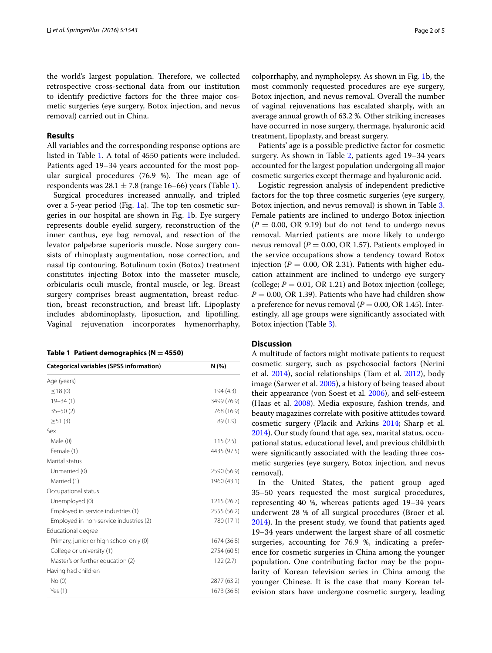the world's largest population. Therefore, we collected retrospective cross-sectional data from our institution to identify predictive factors for the three major cosmetic surgeries (eye surgery, Botox injection, and nevus removal) carried out in China.

### **Results**

All variables and the corresponding response options are listed in Table [1](#page-1-0). A total of 4550 patients were included. Patients aged 19–34 years accounted for the most popular surgical procedures (76.9 %). The mean age of respondents was  $28.1 \pm 7.8$  (range [1](#page-1-0)6–66) years (Table 1).

Surgical procedures increased annually, and tripled over a 5-year period (Fig. [1](#page-2-0)a). The top ten cosmetic surgeries in our hospital are shown in Fig. [1](#page-2-0)b. Eye surgery represents double eyelid surgery, reconstruction of the inner canthus, eye bag removal, and resection of the levator palpebrae superioris muscle. Nose surgery consists of rhinoplasty augmentation, nose correction, and nasal tip contouring. Botulinum toxin (Botox) treatment constitutes injecting Botox into the masseter muscle, orbicularis oculi muscle, frontal muscle, or leg. Breast surgery comprises breast augmentation, breast reduction, breast reconstruction, and breast lift. Lipoplasty includes abdominoplasty, liposuction, and lipofilling. Vaginal rejuvenation incorporates hymenorrhaphy,

<span id="page-1-0"></span>

| Table 1 Patient demographics ( $N = 4550$ ) |  |  |  |  |  |
|---------------------------------------------|--|--|--|--|--|
|---------------------------------------------|--|--|--|--|--|

| <b>Categorical variables (SPSS information)</b> | N(% )       |
|-------------------------------------------------|-------------|
| Age (years)                                     |             |
| $<$ 18 (0)                                      | 194 (4.3)   |
| $19 - 34(1)$                                    | 3499 (76.9) |
| $35 - 50(2)$                                    | 768 (16.9)  |
| $\geq$ 51 (3)                                   | 89 (1.9)    |
| Sex                                             |             |
| Male (0)                                        | 115(2.5)    |
| Female (1)                                      | 4435 (97.5) |
| Marital status                                  |             |
| Unmarried (0)                                   | 2590 (56.9) |
| Married (1)                                     | 1960 (43.1) |
| Occupational status                             |             |
| Unemployed (0)                                  | 1215 (26.7) |
| Employed in service industries (1)              | 2555 (56.2) |
| Employed in non-service industries (2)          | 780 (17.1)  |
| Educational degree                              |             |
| Primary, junior or high school only (0)         | 1674 (36.8) |
| College or university (1)                       | 2754 (60.5) |
| Master's or further education (2)               | 122(2.7)    |
| Having had children                             |             |
| No(0)                                           | 2877 (63.2) |
| Yes $(1)$                                       | 1673 (36.8) |

colporrhaphy, and nympholepsy. As shown in Fig. [1b](#page-2-0), the most commonly requested procedures are eye surgery, Botox injection, and nevus removal. Overall the number of vaginal rejuvenations has escalated sharply, with an average annual growth of 63.2 %. Other striking increases have occurred in nose surgery, thermage, hyaluronic acid treatment, lipoplasty, and breast surgery.

Patients' age is a possible predictive factor for cosmetic surgery. As shown in Table [2,](#page-2-1) patients aged 19–34 years accounted for the largest population undergoing all major cosmetic surgeries except thermage and hyaluronic acid.

Logistic regression analysis of independent predictive factors for the top three cosmetic surgeries (eye surgery, Botox injection, and nevus removal) is shown in Table [3](#page-3-0). Female patients are inclined to undergo Botox injection  $(P = 0.00, \text{ OR } 9.19)$  but do not tend to undergo nevus removal. Married patients are more likely to undergo nevus removal ( $P = 0.00$ , OR 1.57). Patients employed in the service occupations show a tendency toward Botox injection ( $P = 0.00$ , OR 2.31). Patients with higher education attainment are inclined to undergo eye surgery (college;  $P = 0.01$ , OR 1.21) and Botox injection (college;  $P = 0.00$ , OR 1.39). Patients who have had children show a preference for nevus removal  $(P = 0.00, \text{OR } 1.45)$ . Interestingly, all age groups were significantly associated with Botox injection (Table [3](#page-3-0)).

## **Discussion**

A multitude of factors might motivate patients to request cosmetic surgery, such as psychosocial factors (Nerini et al. [2014](#page-4-9)), social relationships (Tam et al. [2012](#page-4-10)), body image (Sarwer et al. [2005\)](#page-4-11), a history of being teased about their appearance (von Soest et al. [2006\)](#page-4-12), and self-esteem (Haas et al. [2008\)](#page-4-13). Media exposure, fashion trends, and beauty magazines correlate with positive attitudes toward cosmetic surgery (Placik and Arkins [2014;](#page-4-14) Sharp et al. [2014](#page-4-15)). Our study found that age, sex, marital status, occupational status, educational level, and previous childbirth were significantly associated with the leading three cosmetic surgeries (eye surgery, Botox injection, and nevus removal).

In the United States, the patient group aged 35–50 years requested the most surgical procedures, representing 40 %, whereas patients aged 19–34 years underwent 28 % of all surgical procedures (Broer et al. [2014](#page-4-8)). In the present study, we found that patients aged 19–34 years underwent the largest share of all cosmetic surgeries, accounting for 76.9 %, indicating a preference for cosmetic surgeries in China among the younger population. One contributing factor may be the popularity of Korean television series in China among the younger Chinese. It is the case that many Korean television stars have undergone cosmetic surgery, leading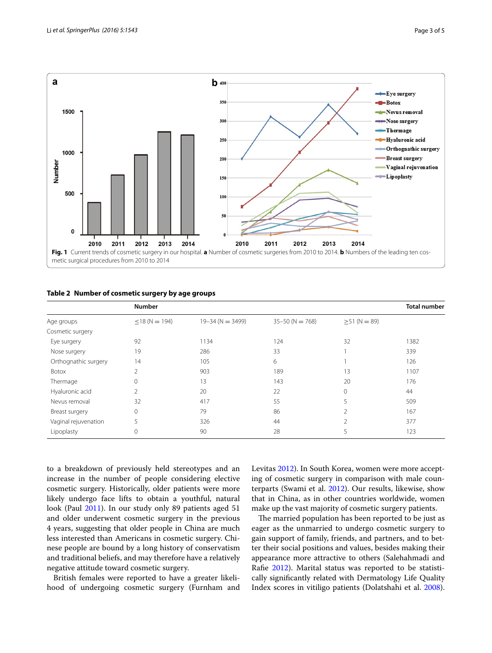

#### <span id="page-2-1"></span><span id="page-2-0"></span>**Table 2 Number of cosmetic surgery by age groups**

|                      | <b>Number</b>       | <b>Total number</b>  |                     |                    |      |
|----------------------|---------------------|----------------------|---------------------|--------------------|------|
| Age groups           | $\leq$ 18 (N = 194) | $19 - 34$ (N = 3499) | $35 - 50$ (N = 768) | $\geq$ 51 (N = 89) |      |
| Cosmetic surgery     |                     |                      |                     |                    |      |
| Eye surgery          | 92                  | 1134                 | 124                 | 32                 | 1382 |
| Nose surgery         | 19                  | 286                  | 33                  |                    | 339  |
| Orthognathic surgery | 14                  | 105                  | 6                   |                    | 126  |
| Botox                | 2                   | 903                  | 189                 | 13                 | 1107 |
| Thermage             | 0                   | 13                   | 143                 | 20                 | 176  |
| Hyaluronic acid      | $\overline{2}$      | 20                   | 22                  | 0                  | 44   |
| Nevus removal        | 32                  | 417                  | 55                  | 5                  | 509  |
| Breast surgery       | 0                   | 79                   | 86                  | 2                  | 167  |
| Vaginal rejuvenation | 5                   | 326                  | 44                  | 2                  | 377  |
| Lipoplasty           | 0                   | 90                   | 28                  | 5                  | 123  |

to a breakdown of previously held stereotypes and an increase in the number of people considering elective cosmetic surgery. Historically, older patients were more likely undergo face lifts to obtain a youthful, natural look (Paul [2011](#page-4-16)). In our study only 89 patients aged 51 and older underwent cosmetic surgery in the previous 4 years, suggesting that older people in China are much less interested than Americans in cosmetic surgery. Chinese people are bound by a long history of conservatism and traditional beliefs, and may therefore have a relatively negative attitude toward cosmetic surgery.

British females were reported to have a greater likelihood of undergoing cosmetic surgery (Furnham and Levitas [2012\)](#page-4-17). In South Korea, women were more accepting of cosmetic surgery in comparison with male counterparts (Swami et al. [2012](#page-4-18)). Our results, likewise, show that in China, as in other countries worldwide, women make up the vast majority of cosmetic surgery patients.

The married population has been reported to be just as eager as the unmarried to undergo cosmetic surgery to gain support of family, friends, and partners, and to better their social positions and values, besides making their appearance more attractive to others (Salehahmadi and Rafie [2012](#page-4-19)). Marital status was reported to be statistically significantly related with Dermatology Life Quality Index scores in vitiligo patients (Dolatshahi et al. [2008](#page-4-20)).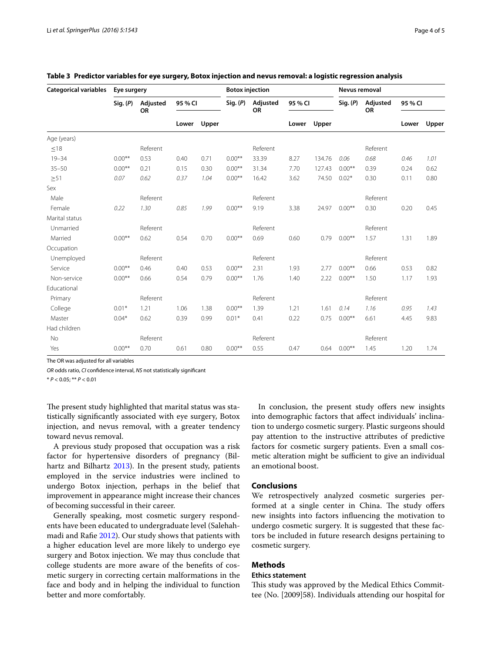| <b>Categorical variables</b> | Eye surgery |                       |         |       | <b>Botox injection</b> |                       |         |        | Nevus removal |                       |         |       |
|------------------------------|-------------|-----------------------|---------|-------|------------------------|-----------------------|---------|--------|---------------|-----------------------|---------|-------|
|                              | Sig. (P)    | Adjusted<br><b>OR</b> | 95 % CI |       | Sig. (P)               | Adjusted<br><b>OR</b> | 95 % CI |        | Sig. (P)      | Adjusted<br><b>OR</b> | 95 % CI |       |
|                              |             |                       | Lower   | Upper |                        |                       | Lower   | Upper  |               |                       | Lower   | Upper |
| Age (years)                  |             |                       |         |       |                        |                       |         |        |               |                       |         |       |
| $\leq 18$                    |             | Referent              |         |       |                        | Referent              |         |        |               | Referent              |         |       |
| $19 - 34$                    | $0.00**$    | 0.53                  | 0.40    | 0.71  | $0.00**$               | 33.39                 | 8.27    | 134.76 | 0.06          | 0.68                  | 0.46    | 1.01  |
| $35 - 50$                    | $0.00**$    | 0.21                  | 0.15    | 0.30  | $0.00**$               | 31.34                 | 7.70    | 127.43 | $0.00**$      | 0.39                  | 0.24    | 0.62  |
| $\geq 51$                    | 0.07        | 0.62                  | 0.37    | 1.04  | $0.00**$               | 16.42                 | 3.62    | 74.50  | $0.02*$       | 0.30                  | 0.11    | 0.80  |
| Sex                          |             |                       |         |       |                        |                       |         |        |               |                       |         |       |
| Male                         |             | Referent              |         |       |                        | Referent              |         |        |               | Referent              |         |       |
| Female                       | 0.22        | 1.30                  | 0.85    | 1.99  | $0.00**$               | 9.19                  | 3.38    | 24.97  | $0.00**$      | 0.30                  | 0.20    | 0.45  |
| Marital status               |             |                       |         |       |                        |                       |         |        |               |                       |         |       |
| Unmarried                    |             | Referent              |         |       |                        | Referent              |         |        |               | Referent              |         |       |
| Married                      | $0.00**$    | 0.62                  | 0.54    | 0.70  | $0.00**$               | 0.69                  | 0.60    | 0.79   | $0.00**$      | 1.57                  | 1.31    | 1.89  |
| Occupation                   |             |                       |         |       |                        |                       |         |        |               |                       |         |       |
| Unemployed                   |             | Referent              |         |       |                        | Referent              |         |        |               | Referent              |         |       |
| Service                      | $0.00**$    | 0.46                  | 0.40    | 0.53  | $0.00**$               | 2.31                  | 1.93    | 2.77   | $0.00**$      | 0.66                  | 0.53    | 0.82  |
| Non-service                  | $0.00**$    | 0.66                  | 0.54    | 0.79  | $0.00**$               | 1.76                  | 1.40    | 2.22   | $0.00**$      | 1.50                  | 1.17    | 1.93  |
| Educational                  |             |                       |         |       |                        |                       |         |        |               |                       |         |       |
| Primary                      |             | Referent              |         |       |                        | Referent              |         |        |               | Referent              |         |       |
| College                      | $0.01*$     | 1.21                  | 1.06    | 1.38  | $0.00**$               | 1.39                  | 1.21    | 1.61   | 0.14          | 1.16                  | 0.95    | 1.43  |
| Master                       | $0.04*$     | 0.62                  | 0.39    | 0.99  | $0.01*$                | 0.41                  | 0.22    | 0.75   | $0.00**$      | 6.61                  | 4.45    | 9.83  |
| Had children                 |             |                       |         |       |                        |                       |         |        |               |                       |         |       |
| No                           |             | Referent              |         |       |                        | Referent              |         |        |               | Referent              |         |       |
| Yes                          | $0.00**$    | 0.70                  | 0.61    | 0.80  | $0.00**$               | 0.55                  | 0.47    | 0.64   | $0.00**$      | 1.45                  | 1.20    | 1.74  |

## <span id="page-3-0"></span>**Table 3 Predictor variables for eye surgery, Botox injection and nevus removal: a logistic regression analysis**

The OR was adjusted for all variables

*OR* odds ratio, *CI* confidence interval, *NS* not statistically significant

\* *P* < 0.05; \*\* *P* < 0.01

The present study highlighted that marital status was statistically significantly associated with eye surgery, Botox injection, and nevus removal, with a greater tendency toward nevus removal.

A previous study proposed that occupation was a risk factor for hypertensive disorders of pregnancy (Bilhartz and Bilhartz [2013](#page-4-21)). In the present study, patients employed in the service industries were inclined to undergo Botox injection, perhaps in the belief that improvement in appearance might increase their chances of becoming successful in their career.

Generally speaking, most cosmetic surgery respondents have been educated to undergraduate level (Salehahmadi and Rafie [2012\)](#page-4-19). Our study shows that patients with a higher education level are more likely to undergo eye surgery and Botox injection. We may thus conclude that college students are more aware of the benefits of cosmetic surgery in correcting certain malformations in the face and body and in helping the individual to function better and more comfortably.

In conclusion, the present study offers new insights into demographic factors that affect individuals' inclination to undergo cosmetic surgery. Plastic surgeons should pay attention to the instructive attributes of predictive factors for cosmetic surgery patients. Even a small cosmetic alteration might be sufficient to give an individual an emotional boost.

## **Conclusions**

We retrospectively analyzed cosmetic surgeries performed at a single center in China. The study offers new insights into factors influencing the motivation to undergo cosmetic surgery. It is suggested that these factors be included in future research designs pertaining to cosmetic surgery.

# **Methods**

#### **Ethics statement**

This study was approved by the Medical Ethics Committee (No. [2009]58). Individuals attending our hospital for